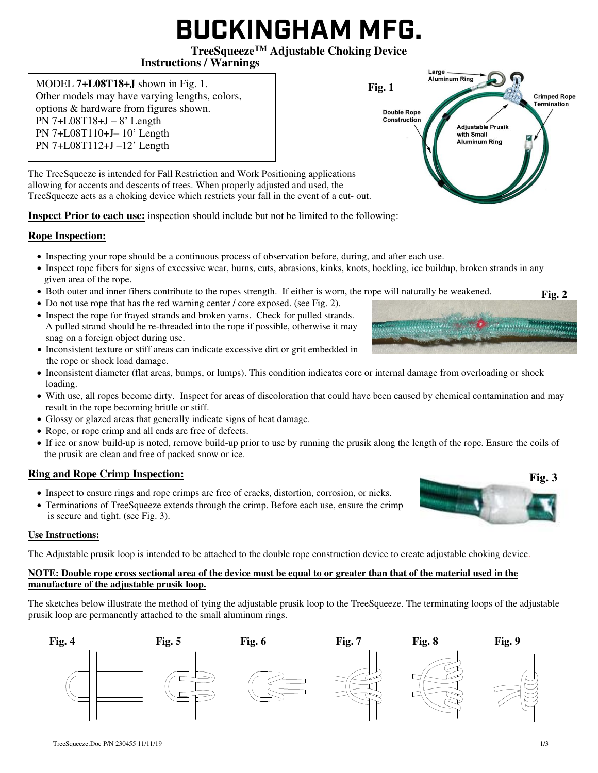# **BUCKINGHAM MFG.**

## **TreeSqueezeTM Adjustable Choking Device**

### **Instructions / Warnings**

MODEL **7+L08T18+J** shown in Fig. 1. Other models may have varying lengths, colors, options & hardware from figures shown. PN 7+L08T18+J  $-$  8' Length PN 7+L08T110+J– 10' Length PN 7+L08T112+J –12' Length

Large Aluminum Ring **Fig. 1 Crimped Rope Termination Double Rope** Construction **Adiustable Prusik** with Small **Aluminum Ring** 

The TreeSqueeze is intended for Fall Restriction and Work Positioning applications allowing for accents and descents of trees. When properly adjusted and used, the TreeSqueeze acts as a choking device which restricts your fall in the event of a cut- out.

**Inspect Prior to each use:** inspection should include but not be limited to the following:

## **Rope Inspection:**

- Inspecting your rope should be a continuous process of observation before, during, and after each use.
- Inspect rope fibers for signs of excessive wear, burns, cuts, abrasions, kinks, knots, hockling, ice buildup, broken strands in any given area of the rope.
- Both outer and inner fibers contribute to the ropes strength. If either is worn, the rope will naturally be weakened.
- Do not use rope that has the red warning center / core exposed. (see Fig. 2).
- Inspect the rope for frayed strands and broken yarns. Check for pulled strands. A pulled strand should be re-threaded into the rope if possible, otherwise it may snag on a foreign object during use.
- Inconsistent texture or stiff areas can indicate excessive dirt or grit embedded in the rope or shock load damage.
- Inconsistent diameter (flat areas, bumps, or lumps). This condition indicates core or internal damage from overloading or shock loading.
- With use, all ropes become dirty. Inspect for areas of discoloration that could have been caused by chemical contamination and may result in the rope becoming brittle or stiff.
- Glossy or glazed areas that generally indicate signs of heat damage.
- Rope, or rope crimp and all ends are free of defects.
- If ice or snow build-up is noted, remove build-up prior to use by running the prusik along the length of the rope. Ensure the coils of the prusik are clean and free of packed snow or ice.

## **Ring and Rope Crimp Inspection:**

- Inspect to ensure rings and rope crimps are free of cracks, distortion, corrosion, or nicks.
- Terminations of TreeSqueeze extends through the crimp. Before each use, ensure the crimp is secure and tight. (see Fig. 3).

#### **Use Instructions:**

The Adjustable prusik loop is intended to be attached to the double rope construction device to create adjustable choking device.

#### **NOTE: Double rope cross sectional area of the device must be equal to or greater than that of the material used in the manufacture of the adjustable prusik loop.**

The sketches below illustrate the method of tying the adjustable prusik loop to the TreeSqueeze. The terminating loops of the adjustable prusik loop are permanently attached to the small aluminum rings.







**Fig. 3** 

**Fig. 2**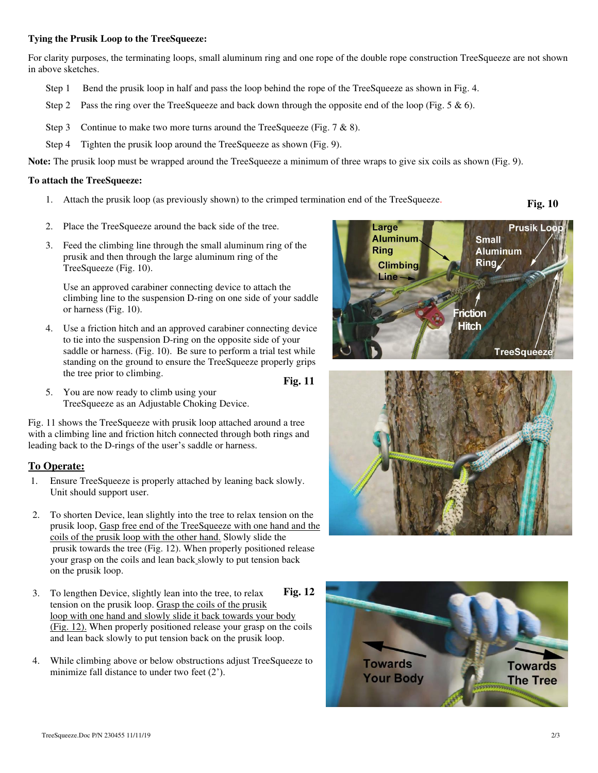#### **Tying the Prusik Loop to the TreeSqueeze:**

For clarity purposes, the terminating loops, small aluminum ring and one rope of the double rope construction TreeSqueeze are not shown in above sketches.

- Step 1 Bend the prusik loop in half and pass the loop behind the rope of the TreeSqueeze as shown in Fig. 4.
- Step 2 Pass the ring over the TreeSqueeze and back down through the opposite end of the loop (Fig. 5  $\&$  6).
- Step 3 Continue to make two more turns around the TreeSqueeze (Fig.  $7 & 8 & 8$ ).
- Step 4 Tighten the prusik loop around the TreeSqueeze as shown (Fig. 9).

**Note:** The prusik loop must be wrapped around the TreeSqueeze a minimum of three wraps to give six coils as shown (Fig. 9).

#### **To attach the TreeSqueeze:**

1. Attach the prusik loop (as previously shown) to the crimped termination end of the TreeSqueeze.

**Fig. 10** 

- 2. Place the TreeSqueeze around the back side of the tree.
- 3. Feed the climbing line through the small aluminum ring of the prusik and then through the large aluminum ring of the TreeSqueeze (Fig. 10).

Use an approved carabiner connecting device to attach the climbing line to the suspension D-ring on one side of your saddle or harness (Fig. 10).

4. Use a friction hitch and an approved carabiner connecting device to tie into the suspension D-ring on the opposite side of your saddle or harness. (Fig. 10). Be sure to perform a trial test while standing on the ground to ensure the TreeSqueeze properly grips the tree prior to climbing.

**Fig. 11** 

5. You are now ready to climb using your TreeSqueeze as an Adjustable Choking Device.

Fig. 11 shows the TreeSqueeze with prusik loop attached around a tree with a climbing line and friction hitch connected through both rings and leading back to the D-rings of the user's saddle or harness.

#### **To Operate:**

- 1. Ensure TreeSqueeze is properly attached by leaning back slowly. Unit should support user.
- 2. To shorten Device, lean slightly into the tree to relax tension on the prusik loop, Gasp free end of the TreeSqueeze with one hand and the coils of the prusik loop with the other hand. Slowly slide the prusik towards the tree (Fig. 12). When properly positioned release your grasp on the coils and lean back slowly to put tension back on the prusik loop.
- 3. To lengthen Device, slightly lean into the tree, to relax tension on the prusik loop. Grasp the coils of the prusik loop with one hand and slowly slide it back towards your body (Fig. 12). When properly positioned release your grasp on the coils and lean back slowly to put tension back on the prusik loop. **Fig. 12**
- 4. While climbing above or below obstructions adjust TreeSqueeze to minimize fall distance to under two feet (2').